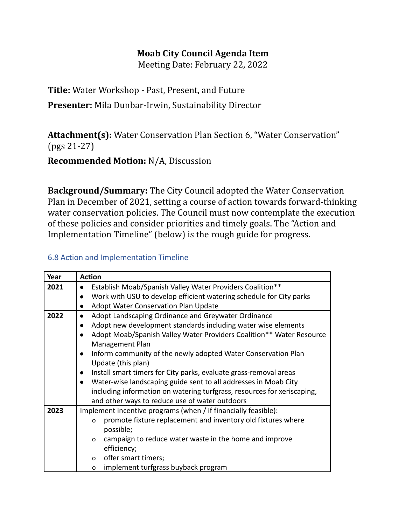## **Moab City Council Agenda Item**

Meeting Date: February 22, 2022

**Title:** Water Workshop - Past, Present, and Future **Presenter:** Mila Dunbar-Irwin, Sustainability Director

**Attachment(s):** Water Conservation Plan Section 6, "Water Conservation" (pgs 21-27)

**Recommended Motion:** N/A, Discussion

**Background/Summary:** The City Council adopted the Water Conservation Plan in December of 2021, setting a course of action towards forward-thinking water conservation policies. The Council must now contemplate the execution of these policies and consider priorities and timely goals. The "Action and Implementation Timeline" (below) is the rough guide for progress.

## 6.8 Action and Implementation Timeline

| Year | <b>Action</b>                                                                     |
|------|-----------------------------------------------------------------------------------|
| 2021 | Establish Moab/Spanish Valley Water Providers Coalition**<br>$\bullet$            |
|      | Work with USU to develop efficient watering schedule for City parks<br>$\bullet$  |
|      | Adopt Water Conservation Plan Update<br>$\bullet$                                 |
| 2022 | Adopt Landscaping Ordinance and Greywater Ordinance<br>$\bullet$                  |
|      | Adopt new development standards including water wise elements<br>$\bullet$        |
|      | Adopt Moab/Spanish Valley Water Providers Coalition** Water Resource<br>$\bullet$ |
|      | Management Plan                                                                   |
|      | Inform community of the newly adopted Water Conservation Plan<br>$\bullet$        |
|      | Update (this plan)                                                                |
|      | Install smart timers for City parks, evaluate grass-removal areas<br>$\bullet$    |
|      | Water-wise landscaping guide sent to all addresses in Moab City<br>$\bullet$      |
|      | including information on watering turfgrass, resources for xeriscaping,           |
|      | and other ways to reduce use of water outdoors                                    |
| 2023 | Implement incentive programs (when / if financially feasible):                    |
|      | promote fixture replacement and inventory old fixtures where<br>$\Omega$          |
|      | possible;                                                                         |
|      | campaign to reduce water waste in the home and improve<br>$\Omega$                |
|      | efficiency;                                                                       |
|      | offer smart timers;<br>$\Omega$                                                   |
|      | implement turfgrass buyback program<br>O                                          |